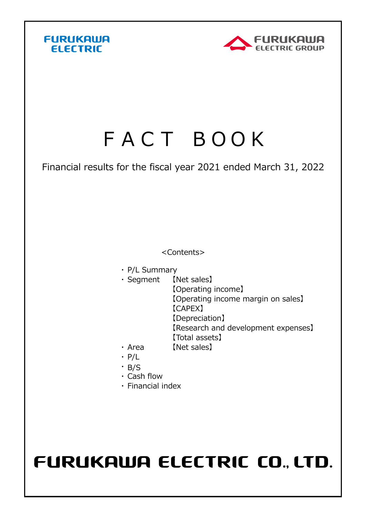



## FACT BOOK

Financial results for the fiscal year 2021 ended March 31, 2022

<Contents>

- ・ P/L Summary
- ・ Segment 【Net sales】 【Net sales】
	- 【Operating income】
		- 【Operating income margin on sales】
		- 【CAPEX】
		- 【Depreciation】
		- 【Research and development expenses】
	- 【Total assets】
- $\cdot$  Area [Net sales]
- ・ P/L
- ・ B/S
- ・ Cash flow
- ・ Financial index

## FURUKAWA ELECTRIC CO., LTD.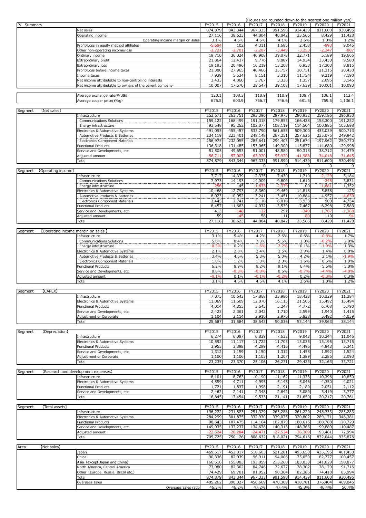|             |                                    |                                                                 |                  |                  |                  |                  |                  | (Figures are rounded down to the nearest one million yen) |                  |
|-------------|------------------------------------|-----------------------------------------------------------------|------------------|------------------|------------------|------------------|------------------|-----------------------------------------------------------|------------------|
| P/L Summary |                                    |                                                                 | FY2015           | FY2016           | FY2017           | FY2018           | FY2019           | FY2020                                                    | FY2021           |
|             |                                    | Net sales                                                       | 874,879          | 843,344          | 967,333          | 991,590          | 914,439          | 811,600                                                   | 930,496          |
|             |                                    | Operating income                                                | 27,116           | 38,623           | 44,804           | 40,842           | 23,565           | 8,429                                                     | 11,428           |
|             |                                    | Operating income margin on sales                                | 3.1%             | 4.6%             | 4.6%             | 4.1%             | 2.6%             | 1.0%                                                      | 1.2%             |
|             |                                    | Profit/Loss in equity method affiliates                         | $-5,684$         | 102              | 4,311            | 1,685            | 2,458            | $-893$                                                    | 9,045            |
|             |                                    | Other non-operating income/loss                                 | $-2,72$          | $-2,701$         | $-2,207$         | $-3,449$         | $-3,253$         | $-2,347$                                                  | $-807$           |
|             |                                    | Ordinary income                                                 | 18,710           | 36,024           | 46,908           | 39,078           | 22,771           | 5,189                                                     | 19,666           |
|             |                                    | Extraordinary profit                                            | 21,864           | 12,437           | 9,776            | 9,887            | 14,934           | 33,430                                                    | 9,580            |
|             |                                    | Extraordinary loss                                              | 19,193           | 20,496           | 16,219           | 13,208           | 6,953            | 17,303                                                    | 8,816            |
|             |                                    | Profit/Loss before income taxes                                 | 21,380           | 27,965           | 40,466           | 35,757           | 30,751           | 21,316                                                    | 20,430           |
|             |                                    | Income taxes                                                    | 7,939            | 5,534            | 8,151            | 3,310            | 11,754           | 9,219                                                     | 7,190            |
|             |                                    | Net income attributable to non-controlling interests            | 3,433            | 4,860            | 3,767            | 3,338            | 1,357            | 2,095                                                     | 3,145            |
|             |                                    | Net income attributable to owners of the parent company         | 10,007           | 17,570           | 28,547           | 29,108           | 17,639           | 10,001                                                    | 10,093           |
|             |                                    |                                                                 |                  |                  |                  |                  |                  |                                                           |                  |
|             |                                    | Average exchange rate(¥/US\$)                                   | 120.1            | 108.3            | 110.9            | 110.9            | 108.7            | 106.1                                                     | 112.4            |
|             |                                    | Average cooper price(¥/kg)                                      | 675.5            | 603.9            | 756.7            | 746.6            | 681.5            | 769.5                                                     | 1,136.1          |
|             | [Net sales]                        |                                                                 | FY2015           | FY2016           | FY2017           | FY2018           | FY2019           | FY2020                                                    | FY2021           |
| Segment     |                                    | Infrastructure                                                  | 252,671          | 263,751          | 293,396          | 287,973          | 280,932          | 259,186                                                   | 296,950          |
|             |                                    | Communications Solutions                                        | 159,122          | 168,499          | 191,318          | 179,853          | 166,428          | 158,300                                                   | 191,252          |
|             |                                    | Energy infrastructure                                           | 93,548           | 95,252           | 102,077          | 108,119          | 114,504          | 100,885                                                   | 105,698          |
|             |                                    | Electronics & Automotive Systems                                | 491,095          | 455,457          | 533,790          | 561,655          | 509,300          | 433,039                                                   | 500,713          |
|             |                                    | Automotive Products & Batteries                                 | 234,119          | 223,401          | 248,148          | 267,251          | 257,626          | 235,076                                                   | 249,942          |
|             |                                    | Electronics Component Materials                                 | 256,975          | 232,055          | 285,641          | 294,403          | 251,674          | 197,962                                                   | 250,770          |
|             |                                    | <b>Functional Products</b>                                      | 136,318          | 131,485          | 153,065          | 149,300          | 115,877          | 114,680                                                   | 129,998          |
|             |                                    | Service and Developments, etc.                                  | 51,505           | 49,653           | 51,001           | 48,580           | 50,318           | 38,712                                                    | 34,479           |
|             |                                    | Adjusted amount                                                 | $-56,711$        | $-57,003$        | $-63,920$        | $-55,920$        | $-41,988$        | $-34,018$                                                 | $-31,645$        |
|             |                                    | Total                                                           | 874,879          | 843,344          | 967,333          | 991,590          | 914,439          | 811,600                                                   | 930,496          |
|             |                                    |                                                                 |                  |                  | $\Omega$         | $\mathbf 0$      | $\mathbf 0$      | 0                                                         | 0                |
| Segment     | [Operating income]                 |                                                                 | FY2015           | FY2016           | FY2017           | FY2018           | FY2019           | FY2020                                                    | FY2021           |
|             |                                    | Infrastructure                                                  | 7,717            | 14,339           | 12,375           | 7,430            | 1,710            | $-2,129$                                                  | 5,184            |
|             |                                    | Communications Solutions                                        | 7,973            | 14,193           | 14,009           | 9,809            | 1,610            | -248                                                      | 3,831            |
|             |                                    | Energy infrastructure                                           | -25              | 145              | $-1,633$         | $-2,379$         | 100              | $-1.881$                                                  | 1,352            |
|             |                                    | Electronics & Automotive Systems                                | 10,468           | 12,793           | 18,360           | 19,469           | 14,818           | 5,858                                                     | 123              |
|             |                                    | Automotive Products & Batteries                                 | 8,023            | 10,052           | 13,241           | 13,451           | 10,884           | 4,957                                                     | $-4,630$         |
|             |                                    | Electronics Component Materials                                 | 2,445            | 2,741            | 5,118            | 6,018            | 3,933            | 900                                                       | 4,754            |
|             |                                    | Functional Products                                             | 8,457            | 11,683           | 14,032           | 13,539           | 7,467            | 6,298                                                     | 7,583            |
|             |                                    | Service and Developments, etc.                                  | 413              | $-148$           | -22              | 292              | $-349$           | $-1,707$                                                  | $-1,368$         |
|             |                                    | Adjusted amount                                                 | 59               | -45              | 58               | 111              | -80              | 110                                                       | $-94$            |
|             |                                    | Total                                                           | 27,116           | 38,623           | 44,804           | 40,842           | 23,565           | 8,429                                                     | 11,428           |
|             |                                    |                                                                 |                  |                  |                  |                  |                  |                                                           |                  |
| Segment     | [Operating income margin on sales] |                                                                 | FY2015           | FY2016           | FY2017           | FY2018           | FY2019           | FY2020                                                    | FY2021           |
|             |                                    | Infrastructure                                                  | 3.1%             | 5.4%             | 4.2%             | 2.6%             | 0.6%             | -0.8%                                                     | 1.7%             |
|             |                                    | Communications Solutions                                        | 5.0%             | 8.4%             | 7.3%             | 5.5%             | 1.0%             | $-0.2%$                                                   | 2.0%             |
|             |                                    | Energy infrastructure                                           | $-0.3%$          | 0.2%             | $-1.6%$          | $-2.2%$          | 0.1%             | $-1.9%$                                                   | 1.3%             |
|             |                                    | Electronics & Automotive Systems                                | 2.1%             | 2.8%             | 3.4%             | 3.5%             | 2.9%             | 1.4%                                                      | 0.0%             |
|             |                                    | Automotive Products & Batteries                                 | 3.4%             | 4.5%             | 5.3%             | 5.0%             | 4.2%             | 2.1%                                                      | $-1.9%$          |
|             |                                    | Electronics Component Materials                                 | 1.0%             | 1.2%             | 1.8%             | 2.0%             | 1.6%             | 0.5%                                                      | 1.9%             |
|             |                                    | <b>Functional Products</b>                                      | 6.2%             | 8.9%             | 9.2%             | 9.1%             | 6.4%             | 5.5%                                                      | 5.8%             |
|             |                                    | Service and Developments, etc.                                  | 0.8%             | -0.3%            | $-0.0%$          | 0.6%             | $-0.7%$          | $-4.4%$                                                   | $-4.0%$          |
|             |                                    | Adjusted amount                                                 | $-0.1%$          | 0.1%             | -0.1%            | $-0.2%$          | 0.2%             | $-0.3%$                                                   | 0.3%             |
|             |                                    | Total                                                           | 3.1%             | 4.6%             | 4.6%             | 4.1%             | 2.6%             | 1.0%                                                      | 1.2%             |
|             |                                    |                                                                 |                  | FY2016           |                  |                  |                  |                                                           |                  |
| Segment     | [CAPEX]                            |                                                                 | FY2015<br>7,075  | 10,643           | FY2017<br>17,868 | FY2018<br>23,986 | FY2019<br>18,428 | FY2020                                                    | FY2021           |
|             |                                    | Infrastructure<br>Electronics & Automotive Systems              | 11,069           | 11,609           | 12,070           | 16,115           | 21,505           | 10,329<br>15,492                                          | 11,384<br>15,494 |
|             |                                    | <b>Functional Products</b>                                      | 4,014            | 4,855            | 3,645            | 5,247            | 4,772            | 6,708                                                     | 5,790            |
|             |                                    | Service and Developments, etc.                                  | 2,423            | 2,361            | 2,042            | 1,710            | 2,599            | 1,940                                                     | 1,415            |
|             |                                    | Adjustment or Corporate                                         | 1,104            | 2,114            | 2,916            | 2,976            | 5,838            | 5,492                                                     | 4,059            |
|             |                                    | Total                                                           | 25,687           | 31,584           | 38,543           | 50,036           | 53,144           | 39,963                                                    | 38,144           |
|             |                                    |                                                                 |                  |                  |                  |                  |                  |                                                           |                  |
| Segment     | [Depreciation]                     |                                                                 | FY2015           | FY2016           | FY2017           | FY2018           | FY2019           | FY2020                                                    | FY2021           |
|             |                                    | Infrastructure                                                  | 6,274            | 6,087            | 6,839            | 7,632            | 9,043            | 10,244                                                    | 11,046           |
|             |                                    | Electronics & Automotive Systems                                | 10,592           | 11,117           | 11,722           | 11,703           | 13,035           | 13,195                                                    | 13,715           |
|             |                                    | Functional Products                                             | 3,955            | 3,898            | 4,289            | 4,416            | 4,496            | 4,843                                                     | 5,341            |
|             |                                    | Service and Developments, etc.                                  | 1,312            | 1,159            | 1,150            | 1,312            | 1,458            | 1,592                                                     | 1,524            |
|             |                                    | Adjustment or Corporate                                         | 1,100            | 1,106            | 1,105            | 1,207            | 1,389            | 2,286                                                     | 2,093            |
|             |                                    | Total                                                           | 23,235           | 23,370           | 25,106           | 26,271           | 29,423           | 32,163                                                    | 33,721           |
|             |                                    |                                                                 |                  |                  |                  |                  |                  |                                                           |                  |
| Segment     |                                    | [Research and development expenses]                             | FY2015           | FY2016           | FY2017           | FY2018           | FY2019           | FY2020                                                    | FY2021           |
|             |                                    | Infrastructure                                                  | 8,101            | 8,763            | 10,190           | 11,162           | 11,333           | 10,396                                                    | 10,850           |
|             |                                    | Electronics & Automotive Systems                                | 4,559            | 4,711            | 4,995            | 5,145            | 5,046            | 4,350                                                     | 4,021            |
|             |                                    | <b>Functional Products</b>                                      | 1,721            | 1,837            | 1,998            | 2,191            | 2,180            | 2,051                                                     | 2,112            |
|             |                                    | Service and Developments, etc.                                  | 2,462            | 2,141            | 2,348            | 2,642            | 3,089            | 3,419                                                     | 3,777            |
|             |                                    | Total                                                           | 16,845           | 17,454           | 19,533           | 21,141           | 21,650           | 20,217                                                    | 20,761           |
|             |                                    |                                                                 |                  |                  |                  |                  |                  |                                                           |                  |
| Segment     | [Total assets]                     |                                                                 | FY2015           | FY2016           | FY2017           | FY2018           | FY2019           | FY2020                                                    | FY2021           |
|             |                                    | Infrastructure                                                  | 196,272          | 231,823          | 251,329          | 263,288          | 261,220          | 248,733                                                   | 283,283          |
|             |                                    | Electronics & Automotive Systems                                | 284,299          | 301,875          | 332,930          | 339,075          | 320,802          | 289,171                                                   | 348,381          |
|             |                                    |                                                                 |                  |                  |                  |                  |                  |                                                           |                  |
|             |                                    | Functional Products                                             | 98,643           | 107,475          | 114,164          | 102,879          | 100,616          | 100,788                                                   | 120,729          |
|             |                                    | Service and Developments, etc.                                  | 149,035          | 137,237          | 134,678          | 140,313          | 148,366          | 99,889                                                    | 110,487          |
|             |                                    | Adjusted amount                                                 | $-22,524$        | $-28,284$        | $-24,471$        | $-27,534$        | $-36,389$        | 93,461                                                    | 72,994           |
|             |                                    | Total                                                           | 705,725          | 750,126          | 808,632          | 818,021          | 794,616          | 832,044                                                   | 935,876          |
|             |                                    |                                                                 |                  |                  |                  |                  |                  |                                                           |                  |
| Area        | [Net sales]                        |                                                                 | FY2015           | FY2016           | FY2017           | FY2018           | FY2019           | FY2020                                                    | FY2021           |
|             |                                    | Japan<br>China                                                  | 469,617          | 453,317          | 510,663          | 521,281          | 495,658          | 435,195                                                   | 461,450          |
|             |                                    |                                                                 | 90,336           | 82,039           | 96,911           | 94,006           | 75,059           | 82,777                                                    | 100,457          |
|             |                                    | Asia (except Japan and China)<br>North America, Central America | 166,516          | 155,983          | 193,059          | 213,260          | 183,033          | 141,029                                                   | 190,877          |
|             |                                    | Other (Europe, Russia, Brazil etc.)                             | 73,980<br>74,429 | 82,302<br>69,701 | 84,746<br>81,952 | 72,677<br>90,364 | 78,302<br>82,386 | 78,179<br>74,418                                          | 91,716<br>85,994 |
|             |                                    | Total                                                           | 874,879          | 843,344          | 967,333          | 991,590          | 914,439          | 811,600                                                   | 930,496          |
|             |                                    | Overseas sales                                                  | 405,262          | 390,027          | 456,669          | 470,309          | 418,781          | 376,404                                                   | 469,046          |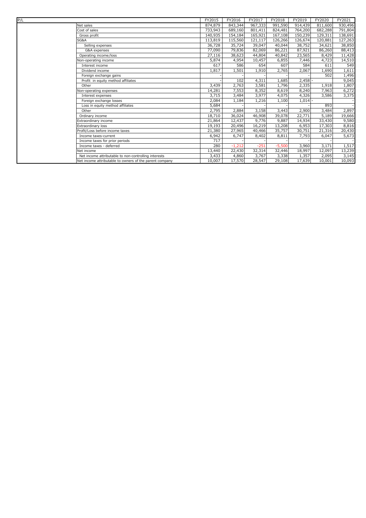| P/L |                                                         | FY2015  | FY2016   | FY2017  | FY2018   | FY2019  | FY2020  | FY2021  |
|-----|---------------------------------------------------------|---------|----------|---------|----------|---------|---------|---------|
|     | Net sales                                               | 874,879 | 843,344  | 967,333 | 991,590  | 914,439 | 811,600 | 930,496 |
|     | Cost of sales                                           | 733,943 | 689,160  | 801,411 | 824,481  | 764,200 | 682,288 | 791,804 |
|     | Gross profit                                            | 140,935 | 154,184  | 165,921 | 167,108  | 150,239 | 129,311 | 138,691 |
|     | SG&A                                                    | 113,819 | 115,560  | 121,117 | 126,266  | 126,674 | 120,881 | 127,263 |
|     | Selling expenses                                        | 36,728  | 35,724   | 39,047  | 40,044   | 38,752  | 34,621  | 38,850  |
|     | G&A expenses                                            | 77,090  | 79,836   | 82,069  | 86,221   | 87,921  | 86,260  | 88,413  |
|     | Operating income/loss                                   | 27,116  | 38,623   | 44,804  | 40,842   | 23,565  | 8,429   | 11,428  |
|     | Non-operating income                                    | 5,874   | 4,954    | 10,457  | 6,855    | 7,446   | 4,723   | 14,510  |
|     | Interest income                                         | 617     | 586      | 654     | 607      | 584     | 611     | 549     |
|     | Dividend income                                         | 1.817   | 1,501    | 1,910   | 2,765    | 2,067   | 1,690   | 1,611   |
|     | Foreign exchange gains                                  |         |          |         |          |         | 502     | 1,496   |
|     | Profit in equity method affiliates                      |         | 102      | 4,311   | 1,685    | 2,458   |         | 9,045   |
|     | Other                                                   | 3,439   | 2,763    | 3,581   | 1,796    | 2,335   | 1,918   | 1,807   |
|     | Non-operating expenses                                  | 14,281  | 7,553    | 8,352   | 8,619    | 8,240   | 7,963   | 6,272   |
|     | Interest expenses                                       | 3,715   | 3,484    | 3,977   | 4,075    | 4,326   | 3,586   | 3,375   |
|     | Foreign exchange losses                                 | 2,084   | 1,184    | 1,216   | 1,100    | 1,014   |         |         |
|     | Loss in equity method affiliates                        | 5,684   |          |         |          |         | 893     |         |
|     | Other                                                   | 2,795   | 2,884    | 3,158   | 3,443    | 2,900   | 3,484   | 2,897   |
|     | Ordinary income                                         | 18,710  | 36,024   | 46,908  | 39,078   | 22,771  | 5,189   | 19,666  |
|     | Extraordinary income                                    | 21,864  | 12,437   | 9,776   | 9,887    | 14,934  | 33,430  | 9,580   |
|     | Extraordinary loss                                      | 19,193  | 20,496   | 16,219  | 13,208   | 6,953   | 17,303  | 8,816   |
|     | Profit/Loss before income taxes                         | 21,380  | 27,965   | 40,466  | 35,757   | 30,751  | 21,316  | 20,430  |
|     | Income taxes-current                                    | 6,942   | 6,747    | 8,402   | 8,811    | 7,793   | 6,047   | 5,673   |
|     | Income taxes for prior periods                          | 717     |          |         |          |         |         |         |
|     | Income taxes - deferred                                 | 280     | $-1,212$ | $-251$  | $-5,500$ | 3,960   | 3,171   | 1,517   |
|     | Net income                                              | 13,440  | 22,430   | 32,314  | 32,446   | 18,997  | 12,097  | 13,239  |
|     | Net income attributable to non-controlling interests    | 3,433   | 4,860    | 3,767   | 3,338    | 1,357   | 2,095   | 3,145   |
|     | Net income attributable to owners of the parent company | 10,007  | 17,570   | 28,547  | 29,108   | 17,639  | 10,001  | 10,093  |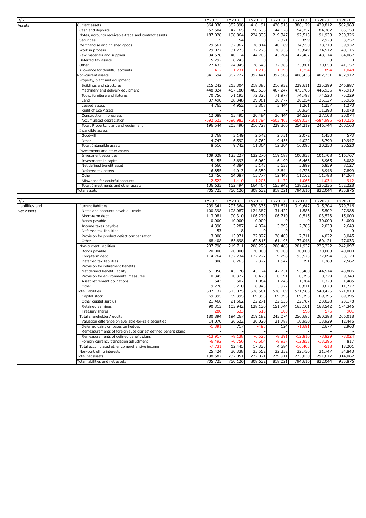| B/S             |                                                               | FY2015             | FY2016             | FY2017                   | FY2018             | FY2019             | FY2020             | FY2021                     |
|-----------------|---------------------------------------------------------------|--------------------|--------------------|--------------------------|--------------------|--------------------|--------------------|----------------------------|
|                 | Current assets                                                | 364,030            | 382,398            | 416.191                  | 420,513            | 386,179            | 429,812            | 502,963                    |
| Assets          | Cash and deposits                                             | 52,504             | 47,165             | 50,635                   | 44,628             | 54,357             | 84,362             | 65,153                     |
|                 | Notes, accounts receivable-trade and contract assets          | 187,028            | 198,864            | 224,335                  | 219,347            | 192,513            | 191,930            | 230,326                    |
|                 | Securities                                                    | 15                 | 54                 | 0                        | 2,371              | 899                | 2,923              | 3,257                      |
|                 |                                                               | 29,561             | 32,967             | 36,814                   | 40,169             | 34,550             | 38,210             |                            |
|                 | Merchandise and finished goods<br>Work in process             | 29,027             | 31,273             | 32,273                   | 36,956             | 33,849             | 34,512             | 59,932<br>40,116           |
|                 | Raw materials and supplies                                    |                    | 40,114             |                          | 45,764             | 47,462             |                    |                            |
|                 |                                                               | 34,578             |                    | 44,703<br>$\overline{0}$ |                    | $\mathbf 0$        | 48,114             | 64,067                     |
|                 | Deferred tax assets                                           | 5,292              | 8,243              |                          | 0                  |                    | 0                  | $\mathbf 0$                |
|                 | Other                                                         | 27,433             | 24,945             | 28,643                   | 32,365             | 23,801             | 30,653             | 41,157                     |
|                 | Allowance for doubtful accounts                               | $-1,412$           | $-1,231$           | $-1,215$                 | $-1,090$           | $-1,254$           | -894               | $-1,048$                   |
|                 | <b>Non-current assets</b>                                     | 341,694            | 367,727            | 392,441                  | 397,508            | 408,436            | 402,231            | 432,912                    |
|                 | Property, plant and equipment                                 |                    |                    |                          |                    |                    |                    |                            |
|                 | Buildings and structures                                      | 215,242            | 215,304            | 218,385                  | 216,932            | 229,611            | 235,399            | 246,887                    |
|                 | Machinery and delivery equipment                              | 448,824            | 457,180            | 463,538                  | 467,247            | 475,766            | 446,936            | 475,919                    |
|                 | Tools, furniture and fixtures                                 | 70,756             | 71,193             | 72,325                   | 71,977             | 74,798             | 74,520             | 75,229                     |
|                 | Land                                                          | 37,490             | 38,348             | 39,981                   | 36,777             | 36,354             | 35,127             | 35,935                     |
|                 | Leased assets                                                 | 4,765              | 4,952              | 3,808                    | 3,444              | 1,261              | 1,257              | 1,273                      |
|                 | Right of Use Assets                                           |                    |                    |                          |                    | 10,934             | 11,390             | 15,078                     |
|                 | Construction in progress                                      | 12,088             | 15,495             | 20,484                   | 36,444             | 34,529             | 27,108             | 20,074                     |
|                 | Accumulated depreciation                                      | $-592,623$         | $-596,983$         | $-601,794$               | -603,463           | $-609,037$         | -584,996           | $-610,235$                 |
|                 | Total; Property, plant and equipment                          | 196,544            | 205,490            | 216,728                  | 229,360            | 254,219            | 246,744            | 260,163                    |
|                 | Intangible assets                                             |                    |                    |                          |                    |                    |                    |                            |
|                 | Goodwill                                                      | 3,768              | 3,149              | 2,542                    | 2,751              | 2,072              | 1,450              | 573                        |
|                 | Other                                                         | 4,747              | 6,592              | 8,762                    | 9,453              | 14,022             | 18,799             | 19,947                     |
|                 | Total; Intangible assets                                      | 8,516              | 9,742              | 11,304                   | 12,204             | 16,095             | 20,250             | 20,520                     |
|                 | Investments and other assets                                  |                    |                    |                          |                    |                    |                    |                            |
|                 | Investment securities                                         | 109,028            | 125,227            | 132,270                  | 119,188            | 100,933            | 101,708            | 116,767                    |
|                 | Investments in capital                                        | 5,155              | 5,693              | 6,062                    | 6,199              | 6,466              | 8,965              | 6,082                      |
|                 | Net defined benefit asset                                     | 4,660              | 4,884              | 5,143                    | 5,633              | 5,899              | 6,859              | 8,127                      |
|                 | Deferred tax assets                                           | 6,855              | 4,013              | 6,359                    | 13,644             | 14,726             | 6,948              | 7,899                      |
|                 | Other                                                         | 13,456             | 14,087             | 15,777                   | 12,448             | 11,162             | 11,788             | 14,264                     |
|                 | Allowance for doubtful accounts                               | $-2,522$           | $-1,410$           | $-1,206$                 | $-1,172$           | $-1,065$           | $-1,034$           | $-912$                     |
|                 | Total; Investments and other assets                           | 136,633            | 152,494            | 164,407                  | 155,942            | 138,122            | 135,236            | 152,228                    |
|                 | Total assets                                                  | 705,725            | 750,126            | 808,632                  | 818,021            | 794,616            | 832,044            | 935,876                    |
|                 |                                                               |                    |                    |                          |                    |                    |                    |                            |
|                 |                                                               |                    |                    |                          |                    |                    |                    |                            |
| B/S             |                                                               | FY2015             | FY2016             | FY2017                   | FY2018             | FY2019             | FY2020             | FY2021                     |
| Liabilities and | Current liabilities                                           | 299,341            | 293,364            | 330,335                  | 331,621            | 319,647            | 315,204            | 379,716                    |
| Net assets      | Notes and accounts payable - trade                            | 100,398            | 108,087            | 124,387                  | 131,422            | 111,586            | 115,502            | 127,988                    |
|                 | Short-term debt                                               | 113,081            | 90,310             | 106,279                  | 106,710            | 110,515            | 103,523            | 115,000                    |
|                 | Bonds payable                                                 | 10,000             | 10,000             | 10,000                   | 0                  | $\Omega$           | 30,000             | 54,000                     |
|                 | Income taxes payable                                          | 4,390              | 3,287              | 4,024                    | 3,893              | 2,785              | 2,033              |                            |
|                 | Deferred tax liabilities                                      | 53                 | 8                  | 0                        | 0                  | 0                  | 0                  | 2,649<br>$\mathbf 0$       |
|                 | Provision for product defect compensation                     | 3,008              | 15,971             | 22,827                   | 28,400             | 17,711             | 4,022              |                            |
|                 | Other                                                         | 68,408             | 65,698             | 62,815                   | 61,193             | 77,048             | 60,121             | 3,045<br>77,033            |
|                 | Non-current liabilities                                       | 207,796            | 219,711            | 206,226                  | 206,488            | 201,937            | 225,222            | 242,097                    |
|                 | Bonds payable                                                 | 20,000             | 20,000             | 20,000                   | 20,000             | 30,000             | 30,000             | 40,000                     |
|                 | Long-term debt                                                | 114,764            | 132,234            | 122,227                  | 119,298            | 95,573             | 127,094            | 133,120                    |
|                 | Deferred tax liabilities                                      | 1,808              | 6,263              | 2,327                    | 1,547              | 391                | 1,388              | 2,562                      |
|                 | Provision for retirement benefits                             |                    |                    |                          |                    |                    |                    |                            |
|                 | Net defined benefit liability                                 | 51,058             | 45,178             | 43,174                   | 47,731             | 53,460             | 44,514             | 43,806                     |
|                 | Provision for environmental measures                          | 10,345             | 10,322             | 10,470                   | 10,691             | 10,396             | 10,229             | 9,343                      |
|                 | Asset retirement obligations                                  | 543                | 502                | 1,084                    | 1,246              | 1,304              | 1,323              | 1,485                      |
|                 | Other                                                         | 9,276              | 5,210              | 6,943                    | 5,972              | 10,811             | 10,673             | 11,777                     |
|                 | Total liabilities                                             | 507,137            | 513,075            | 536,561                  | 538,109            | 521,585            | 540,426            | 621,813                    |
|                 | Capital stock                                                 | 69,395             | 69,395             | 69,395                   | 69,395             | 69,395             | 69,395             | 69,395                     |
|                 | Other capital surplus                                         | 21,466             | 21,562             | 22,271                   | 22,535             | 22,787             | 23,028             | 23,178                     |
|                 | Retained earnings                                             | 90,313             | 103,942            | 128,130                  | 151,744            | 165,101            | 168,542            | 174,346                    |
|                 | Treasury shares                                               | $-280$             | $-633$             | $-613$                   | $-600$             | $-598$             | -576               | $-901$                     |
|                 | Total shareholders' equity                                    | 180,894            | 194,267            | 219,182                  | 243,074            | 256,685            | 260,388            |                            |
|                 | Valuation difference on available-for-sale securities         | 14,070             | 26,622             | 30,020                   | 21,788             | 10,950             | 13,929             |                            |
|                 | Deferred gains or losses on hedges                            | $-1,391$           | 717                | -495                     | 124                | $-1,691$           | 2,677              | 266,018<br>12,446<br>2,963 |
|                 | Remeasurements of foreign subsidiaries' defined benefit plans |                    |                    |                          |                    |                    |                    |                            |
|                 | Remeasurements of defined benefit plans                       | $-13,917$          | $-8,138$           | $-6,525$                 | $-8,391$           | $-12,810$          | $-3,829$           | $-3,024$                   |
|                 | Foreign currency translation adjustment                       | $-6,492$           | $-6,756$           | $-5,664$                 | $-8,937$           | $-12,853$          | $-13,295$          | 817                        |
|                 | Total accumulated other comprehensive income                  | $-7,731$           | 12,445             | 17,335                   | 4,584              | $-16,405$          | $-518$             | 13,201                     |
|                 | Non-controlling interests                                     | 25,424             | 30,338             | 35,552                   | 32,252             | 32,750             | 31,747             | 34,843                     |
|                 | Total net assets<br>Total liabilities and net assets          | 198,587<br>705,725 | 237,051<br>750,126 | 272,071<br>808,632       | 279,911<br>818,021 | 273,030<br>794,616 | 291,617<br>832,044 | 314,062<br>935,876         |